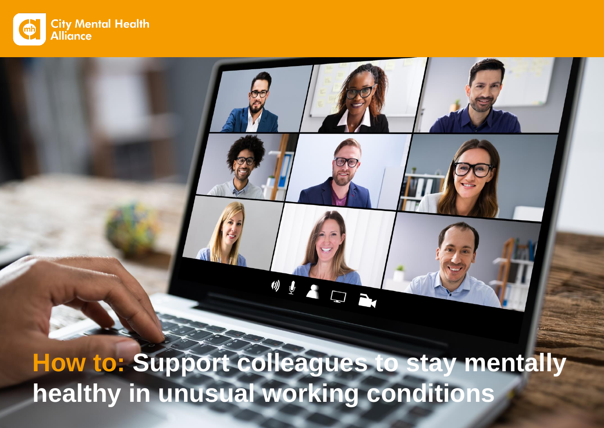

**How to: Support colleagues to stay mentally healthy in unusual working conditions**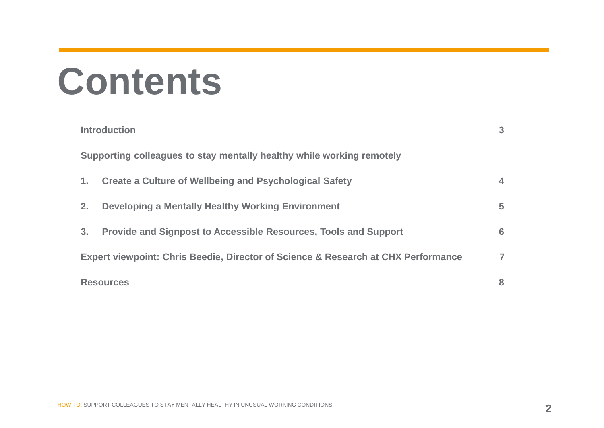## **Contents**

| <b>Introduction</b>                                                               | 3              |
|-----------------------------------------------------------------------------------|----------------|
| Supporting colleagues to stay mentally healthy while working remotely             |                |
| <b>Create a Culture of Wellbeing and Psychological Safety</b><br>1.               | 4              |
| Developing a Mentally Healthy Working Environment<br>2.                           | 5              |
| 3.<br>Provide and Signpost to Accessible Resources, Tools and Support             | 6              |
| Expert viewpoint: Chris Beedie, Director of Science & Research at CHX Performance | $\overline{ }$ |
| <b>Resources</b>                                                                  | 8              |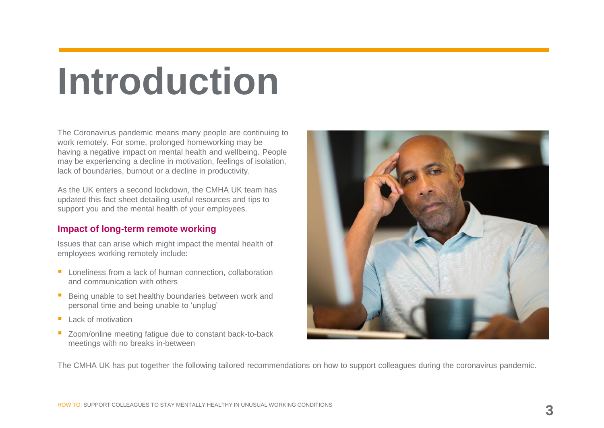# **Introduction**

The Coronavirus pandemic means many people are continuing to work remotely. For some, prolonged homeworking may be having a negative impact on mental health and wellbeing. People may be experiencing a decline in motivation, feelings of isolation, lack of boundaries, burnout or a decline in productivity.

As the UK enters a second lockdown, the CMHA UK team has updated this fact sheet detailing useful resources and tips to support you and the mental health of your employees.

### **Impact of long-term remote working**

Issues that can arise which might impact the mental health of employees working remotely include:

- Loneliness from a lack of human connection, collaboration and communication with others
- Being unable to set healthy boundaries between work and personal time and being unable to 'unplug'
- Lack of motivation
- Zoom/online meeting fatigue due to constant back-to-back meetings with no breaks in-between



The CMHA UK has put together the following tailored recommendations on how to support colleagues during the coronavirus pandemic.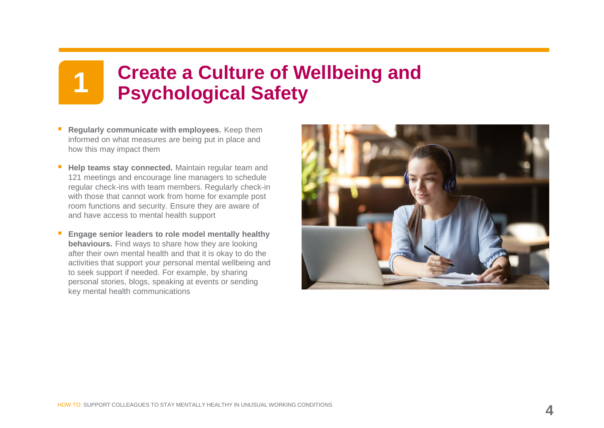# **Create a Culture of Wellbeing and 1 Psychological Safety**

- **Regularly communicate with employees.** Keep them informed on what measures are being put in place and how this may impact them
- **Help teams stay connected.** Maintain regular team and 121 meetings and encourage line managers to schedule regular check-ins with team members. Regularly check-in with those that cannot work from home for example post room functions and security. Ensure they are aware of and have access to mental health support
- **Engage senior leaders to role model mentally healthy behaviours.** Find ways to share how they are looking after their own mental health and that it is okay to do the activities that support your personal mental wellbeing and to seek support if needed. For example, by sharing personal stories, blogs, speaking at events or sending key mental health communications

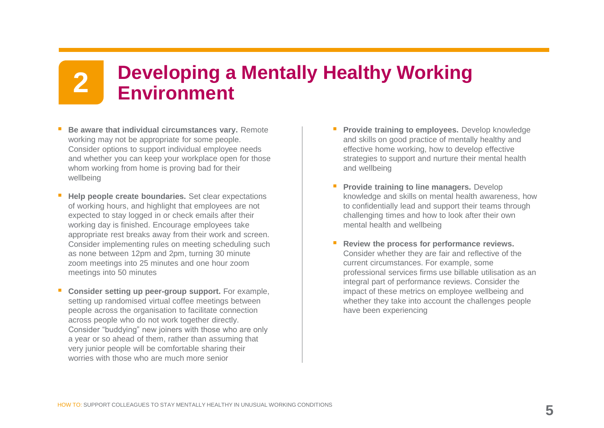# **Developing a Mentally Healthy Working 2 Environment**

- **Be aware that individual circumstances vary.** Remote working may not be appropriate for some people. Consider options to support individual employee needs and whether you can keep your workplace open for those whom working from home is proving bad for their wellbeing
- **Help people create boundaries.** Set clear expectations of working hours, and highlight that employees are not expected to stay logged in or check emails after their working day is finished. Encourage employees take appropriate rest breaks away from their work and screen. Consider implementing rules on meeting scheduling such as none between 12pm and 2pm, turning 30 minute zoom meetings into 25 minutes and one hour zoom meetings into 50 minutes
- **Consider setting up peer-group support.** For example, setting up randomised virtual coffee meetings between people across the organisation to facilitate connection across people who do not work together directly. Consider "buddying" new joiners with those who are only a year or so ahead of them, rather than assuming that very junior people will be comfortable sharing their worries with those who are much more senior
- **Provide training to employees.** Develop knowledge and skills on good practice of mentally healthy and effective home working, how to develop effective strategies to support and nurture their mental health and wellbeing
- **Provide training to line managers. Develop** knowledge and skills on mental health awareness, how to confidentially lead and support their teams through challenging times and how to look after their own mental health and wellbeing
- Review the process for performance reviews. Consider whether they are fair and reflective of the current circumstances. For example, some professional services firms use billable utilisation as an integral part of performance reviews. Consider the impact of these metrics on employee wellbeing and whether they take into account the challenges people have been experiencing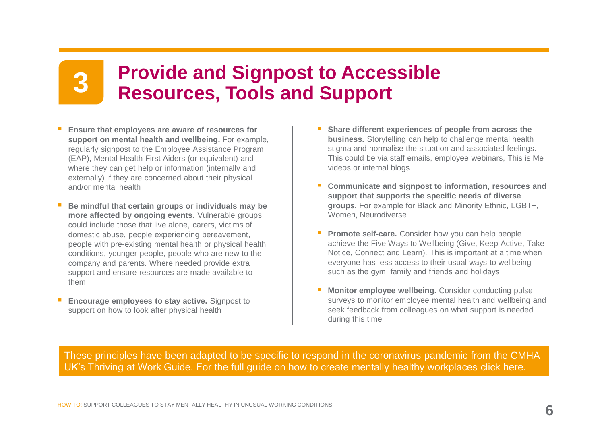# **Provide and Signpost to Accessible 3 Resources, Tools and Support**

- **Ensure that employees are aware of resources for support on mental health and wellbeing.** For example, regularly signpost to the Employee Assistance Program (EAP), Mental Health First Aiders (or equivalent) and where they can get help or information (internally and externally) if they are concerned about their physical and/or mental health
- Be mindful that certain groups or individuals may be **more affected by ongoing events.** Vulnerable groups could include those that live alone, carers, victims of domestic abuse, people experiencing bereavement, people with pre-existing mental health or physical health conditions, younger people, people who are new to the company and parents. Where needed provide extra support and ensure resources are made available to them
- **Encourage employees to stay active.** Signpost to support on how to look after physical health
- Share different experiences of people from across the **business.** Storytelling can help to challenge mental health stigma and normalise the situation and associated feelings. This could be via staff emails, employee webinars, This is Me videos or internal blogs
- **Communicate and signpost to information, resources and support that supports the specific needs of diverse groups.** For example for Black and Minority Ethnic, LGBT+, Women, Neurodiverse
- **Promote self-care.** Consider how you can help people achieve the Five Ways to Wellbeing (Give, Keep Active, Take Notice, Connect and Learn). This is important at a time when everyone has less access to their usual ways to wellbeing – such as the gym, family and friends and holidays
- **Monitor employee wellbeing.** Consider conducting pulse surveys to monitor employee mental health and wellbeing and seek feedback from colleagues on what support is needed during this time

These principles have been adapted to be specific to respond in the coronavirus pandemic from the CMHA UK's Thriving at Work Guide. For the full guide on how to create mentally healthy workplaces click [here.](https://citymha.org.uk/Resources/Thriving-at-Work-UK-Guide)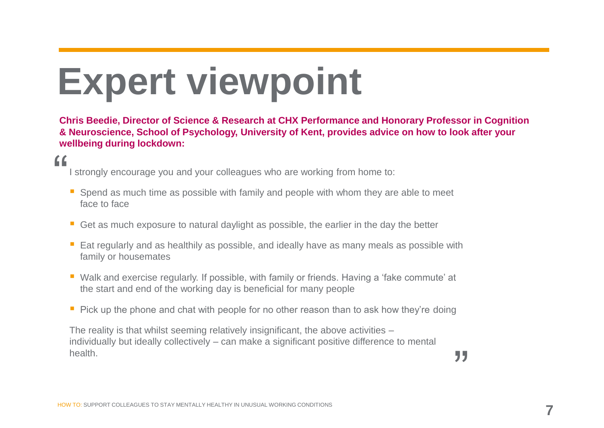# **Expert viewpoint**

**Chris Beedie, Director of Science & Research at CHX Performance and Honorary Professor in Cognition & Neuroscience, School of Psychology, University of Kent, provides advice on how to look after your wellbeing during lockdown:** 

## "

I strongly encourage you and your colleagues who are working from home to:

- Spend as much time as possible with family and people with whom they are able to meet face to face
- Get as much exposure to natural daylight as possible, the earlier in the day the better
- Eat regularly and as healthily as possible, and ideally have as many meals as possible with family or housemates
- Walk and exercise regularly. If possible, with family or friends. Having a 'fake commute' at the start and end of the working day is beneficial for many people
- Pick up the phone and chat with people for no other reason than to ask how they're doing

The reality is that whilst seeming relatively insignificant, the above activities – individually but ideally collectively – can make a significant positive difference to mental health.

"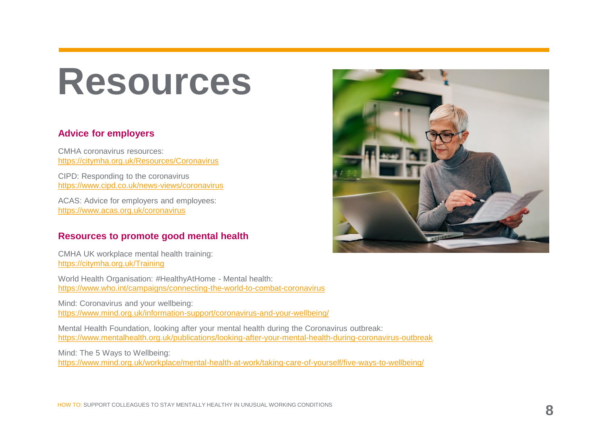## **Resources**

## **Advice for employers**

CMHA coronavirus resources: https://citymha.org.uk/Resources/Coronavirus

CIPD: Responding to the coronavirus https://www.cipd.co.uk/news-views/coronavirus

ACAS: Advice for employers and employees: https://www.acas.org.uk/coronavirus

## **Resources to promote good mental health**

CMHA UK workplace mental health training: https://citymha.org.uk/Training

World Health Organisation: #HealthyAtHome - Mental health: https://www.who.int/campaigns/connecting-the-world-to-combat-coronavirus

Mind: Coronavirus and your wellbeing: https://www.mind.org.uk/information-support/coronavirus-and-your-wellbeing/

Mental Health Foundation, looking after your mental health during the Coronavirus outbreak: https://www.mentalhealth.org.uk/publications/looking-after-your-mental-health-during-coronavirus-outbreak

Mind: The 5 Ways to Wellbeing: https://www.mind.org.uk/workplace/mental-health-at-work/taking-care-of-yourself/five-ways-to-wellbeing/

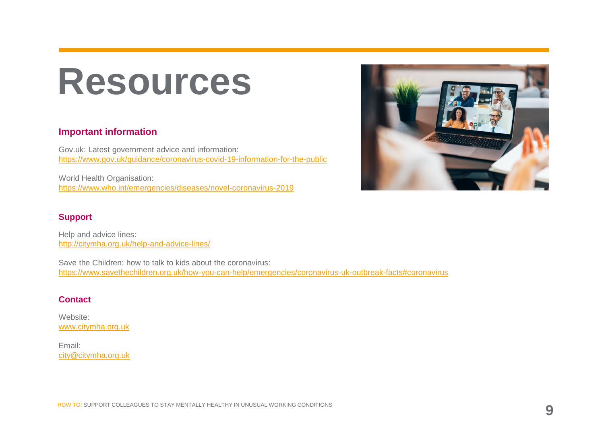## **Resources**

## **Important information**

Gov.uk: Latest government advice and information: https://www.gov.uk/guidance/coronavirus-covid-19-information-for-the-public

World Health Organisation: https://www.who.int/emergencies/diseases/novel-coronavirus-2019

### **Support**

Help and advice lines: http://citymha.org.uk/help-and-advice-lines/

Save the Children: how to talk to kids about the coronavirus: https://www.savethechildren.org.uk/how-you-can-help/emergencies/coronavirus-uk-outbreak-facts#coronavirus

#### **Contact**

Website: www.citymha.org.uk

Email: city@citymha.org.uk